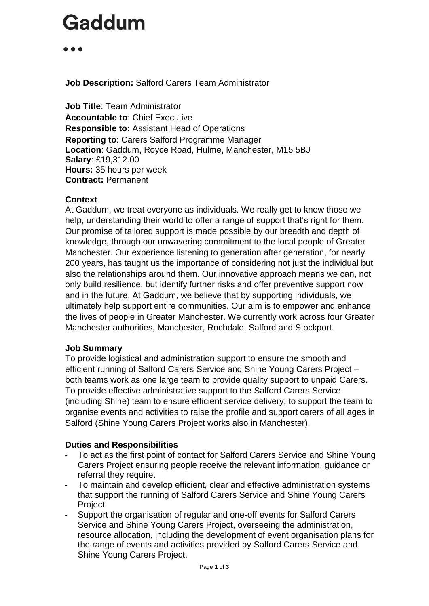. . .

**Job Description:** Salford Carers Team Administrator

**Job Title**: Team Administrator **Accountable to**: Chief Executive **Responsible to:** Assistant Head of Operations **Reporting to**: Carers Salford Programme Manager **Location**: Gaddum, Royce Road, Hulme, Manchester, M15 5BJ **Salary**: £19,312.00 **Hours:** 35 hours per week **Contract:** Permanent

#### **Context**

At Gaddum, we treat everyone as individuals. We really get to know those we help, understanding their world to offer a range of support that's right for them. Our promise of tailored support is made possible by our breadth and depth of knowledge, through our unwavering commitment to the local people of Greater Manchester. Our experience listening to generation after generation, for nearly 200 years, has taught us the importance of considering not just the individual but also the relationships around them. Our innovative approach means we can, not only build resilience, but identify further risks and offer preventive support now and in the future. At Gaddum, we believe that by supporting individuals, we ultimately help support entire communities. Our aim is to empower and enhance the lives of people in Greater Manchester. We currently work across four Greater Manchester authorities, Manchester, Rochdale, Salford and Stockport.

#### **Job Summary**

To provide logistical and administration support to ensure the smooth and efficient running of Salford Carers Service and Shine Young Carers Project – both teams work as one large team to provide quality support to unpaid Carers. To provide effective administrative support to the Salford Carers Service (including Shine) team to ensure efficient service delivery; to support the team to organise events and activities to raise the profile and support carers of all ages in Salford (Shine Young Carers Project works also in Manchester).

### **Duties and Responsibilities**

- To act as the first point of contact for Salford Carers Service and Shine Young Carers Project ensuring people receive the relevant information, guidance or referral they require.
- To maintain and develop efficient, clear and effective administration systems that support the running of Salford Carers Service and Shine Young Carers Project.
- Support the organisation of regular and one-off events for Salford Carers Service and Shine Young Carers Project, overseeing the administration, resource allocation, including the development of event organisation plans for the range of events and activities provided by Salford Carers Service and Shine Young Carers Project.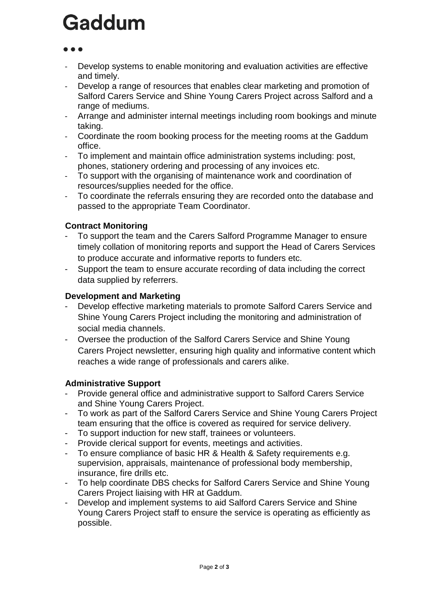- Develop systems to enable monitoring and evaluation activities are effective and timely.
- Develop a range of resources that enables clear marketing and promotion of Salford Carers Service and Shine Young Carers Project across Salford and a range of mediums.
- Arrange and administer internal meetings including room bookings and minute taking.
- Coordinate the room booking process for the meeting rooms at the Gaddum office.
- To implement and maintain office administration systems including: post, phones, stationery ordering and processing of any invoices etc.
- To support with the organising of maintenance work and coordination of resources/supplies needed for the office.
- To coordinate the referrals ensuring they are recorded onto the database and passed to the appropriate Team Coordinator.

### **Contract Monitoring**

- To support the team and the Carers Salford Programme Manager to ensure timely collation of monitoring reports and support the Head of Carers Services to produce accurate and informative reports to funders etc.
- Support the team to ensure accurate recording of data including the correct data supplied by referrers.

### **Development and Marketing**

- Develop effective marketing materials to promote Salford Carers Service and Shine Young Carers Project including the monitoring and administration of social media channels.
- Oversee the production of the Salford Carers Service and Shine Young Carers Project newsletter, ensuring high quality and informative content which reaches a wide range of professionals and carers alike.

### **Administrative Support**

- Provide general office and administrative support to Salford Carers Service and Shine Young Carers Project.
- To work as part of the Salford Carers Service and Shine Young Carers Project team ensuring that the office is covered as required for service delivery.
- To support induction for new staff, trainees or volunteers.
- Provide clerical support for events, meetings and activities.
- To ensure compliance of basic HR & Health & Safety requirements e.g. supervision, appraisals, maintenance of professional body membership, insurance, fire drills etc.
- To help coordinate DBS checks for Salford Carers Service and Shine Young Carers Project liaising with HR at Gaddum.
- Develop and implement systems to aid Salford Carers Service and Shine Young Carers Project staff to ensure the service is operating as efficiently as possible.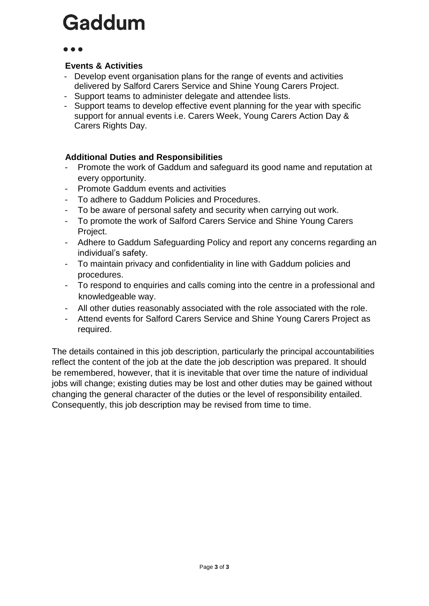#### **Events & Activities**

- Develop event organisation plans for the range of events and activities delivered by Salford Carers Service and Shine Young Carers Project.
- Support teams to administer delegate and attendee lists.
- Support teams to develop effective event planning for the year with specific support for annual events i.e. Carers Week, Young Carers Action Day & Carers Rights Day.

### **Additional Duties and Responsibilities**

- Promote the work of Gaddum and safeguard its good name and reputation at every opportunity.
- Promote Gaddum events and activities
- To adhere to Gaddum Policies and Procedures.
- To be aware of personal safety and security when carrying out work.
- To promote the work of Salford Carers Service and Shine Young Carers Project.
- Adhere to Gaddum Safeguarding Policy and report any concerns regarding an individual's safety.
- To maintain privacy and confidentiality in line with Gaddum policies and procedures.
- To respond to enquiries and calls coming into the centre in a professional and knowledgeable way.
- All other duties reasonably associated with the role associated with the role.
- Attend events for Salford Carers Service and Shine Young Carers Project as required.

The details contained in this job description, particularly the principal accountabilities reflect the content of the job at the date the job description was prepared. It should be remembered, however, that it is inevitable that over time the nature of individual jobs will change; existing duties may be lost and other duties may be gained without changing the general character of the duties or the level of responsibility entailed. Consequently, this job description may be revised from time to time.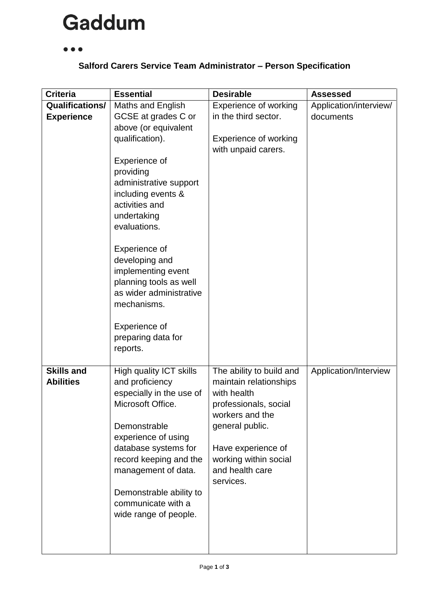#### $\bullet\bullet\bullet$

### **Salford Carers Service Team Administrator – Person Specification**

| <b>Criteria</b>        | <b>Essential</b>                              | <b>Desirable</b>                         | <b>Assessed</b>        |
|------------------------|-----------------------------------------------|------------------------------------------|------------------------|
| <b>Qualifications/</b> | <b>Maths and English</b>                      | <b>Experience of working</b>             | Application/interview/ |
| <b>Experience</b>      | GCSE at grades C or                           | in the third sector.                     | documents              |
|                        | above (or equivalent                          |                                          |                        |
|                        | qualification).                               | Experience of working                    |                        |
|                        |                                               | with unpaid carers.                      |                        |
|                        | Experience of                                 |                                          |                        |
|                        | providing                                     |                                          |                        |
|                        | administrative support                        |                                          |                        |
|                        | including events &                            |                                          |                        |
|                        | activities and                                |                                          |                        |
|                        | undertaking                                   |                                          |                        |
|                        | evaluations.                                  |                                          |                        |
|                        | Experience of                                 |                                          |                        |
|                        | developing and                                |                                          |                        |
|                        | implementing event                            |                                          |                        |
|                        | planning tools as well                        |                                          |                        |
|                        | as wider administrative                       |                                          |                        |
|                        | mechanisms.                                   |                                          |                        |
|                        | Experience of                                 |                                          |                        |
|                        | preparing data for                            |                                          |                        |
|                        | reports.                                      |                                          |                        |
|                        |                                               |                                          |                        |
| <b>Skills and</b>      | High quality ICT skills                       | The ability to build and                 | Application/Interview  |
| <b>Abilities</b>       | and proficiency                               | maintain relationships                   |                        |
|                        | especially in the use of                      | with health                              |                        |
|                        | Microsoft Office.                             | professionals, social                    |                        |
|                        |                                               | workers and the                          |                        |
|                        | Demonstrable                                  | general public.                          |                        |
|                        | experience of using                           |                                          |                        |
|                        | database systems for                          | Have experience of                       |                        |
|                        | record keeping and the<br>management of data. | working within social<br>and health care |                        |
|                        |                                               | services.                                |                        |
|                        | Demonstrable ability to                       |                                          |                        |
|                        | communicate with a                            |                                          |                        |
|                        | wide range of people.                         |                                          |                        |
|                        |                                               |                                          |                        |
|                        |                                               |                                          |                        |
|                        |                                               |                                          |                        |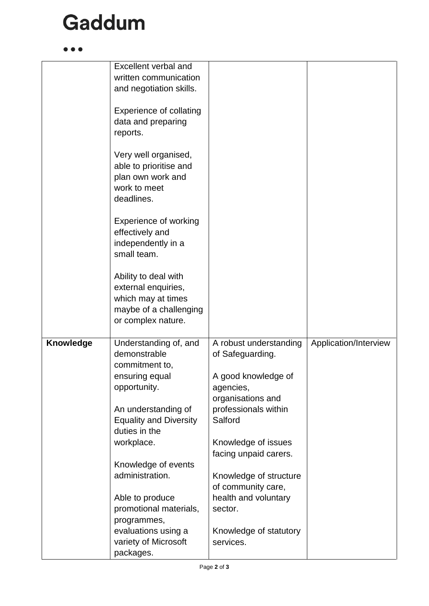$\bullet$   $\bullet$ 

|                  | Excellent verbal and              |                        |                       |
|------------------|-----------------------------------|------------------------|-----------------------|
|                  | written communication             |                        |                       |
|                  | and negotiation skills.           |                        |                       |
|                  |                                   |                        |                       |
|                  | <b>Experience of collating</b>    |                        |                       |
|                  | data and preparing                |                        |                       |
|                  | reports.                          |                        |                       |
|                  |                                   |                        |                       |
|                  | Very well organised,              |                        |                       |
|                  | able to prioritise and            |                        |                       |
|                  | plan own work and                 |                        |                       |
|                  | work to meet                      |                        |                       |
|                  | deadlines.                        |                        |                       |
|                  |                                   |                        |                       |
|                  | <b>Experience of working</b>      |                        |                       |
|                  | effectively and                   |                        |                       |
|                  | independently in a<br>small team. |                        |                       |
|                  |                                   |                        |                       |
|                  |                                   |                        |                       |
|                  | Ability to deal with              |                        |                       |
|                  | external enquiries,               |                        |                       |
|                  | which may at times                |                        |                       |
|                  | maybe of a challenging            |                        |                       |
|                  | or complex nature.                |                        |                       |
| <b>Knowledge</b> | Understanding of, and             | A robust understanding | Application/Interview |
|                  | demonstrable                      | of Safeguarding.       |                       |
|                  | commitment to,                    |                        |                       |
|                  | ensuring equal                    | A good knowledge of    |                       |
|                  | opportunity.                      | agencies,              |                       |
|                  |                                   | organisations and      |                       |
|                  | An understanding of               | professionals within   |                       |
|                  | <b>Equality and Diversity</b>     | Salford                |                       |
|                  | duties in the                     |                        |                       |
|                  | workplace.                        | Knowledge of issues    |                       |
|                  |                                   | facing unpaid carers.  |                       |
|                  | Knowledge of events               |                        |                       |
|                  | administration.                   | Knowledge of structure |                       |
|                  |                                   | of community care,     |                       |
|                  |                                   |                        |                       |
|                  |                                   |                        |                       |
|                  | Able to produce                   | health and voluntary   |                       |
|                  | promotional materials,            | sector.                |                       |
|                  | programmes,                       |                        |                       |
|                  | evaluations using a               | Knowledge of statutory |                       |
|                  | variety of Microsoft<br>packages. | services.              |                       |